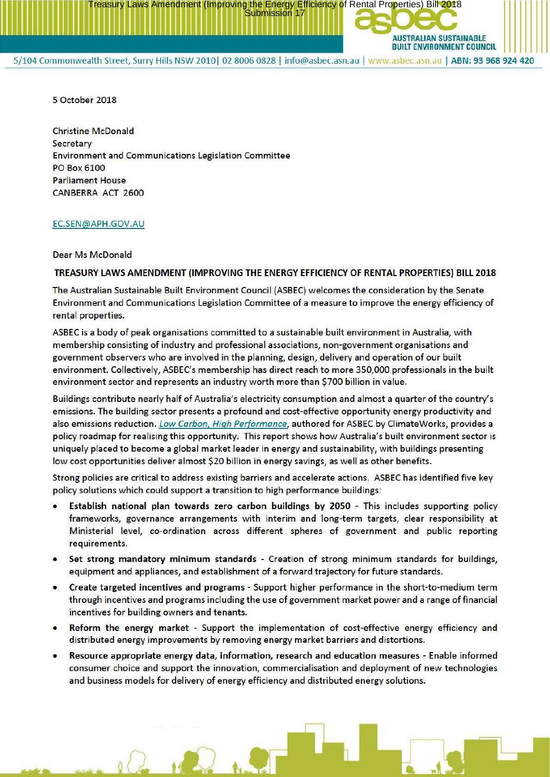

Treasury Laws Amendment (Improving the Energy Efficiency of Rental Properties) Bill 2018<br>Submission 17

5 October 2018

Christine McDonald Secretary Environment and Communications Legislation Committee PO Box 6100 Parliament House CANBERRA ACT 2600

## EC.SEN@APH.GOV.AU

## Dear Ms McDonald

## **TREASURY LAWS AMENDMENT (IMPROVING THE ENERGY EFFICIENCY OF RENTAL PROPERTIES) BILL 2018**

The Australian Sustainable Built Environment Council (ASBEC) welcomes the consideration by the Senate Environment and Communications Legislation Committee of a measure to improve the energy efficiency of rental properties.

ASBEC is a body of peak organisations committed to a sustainable built environment in Australia, with membership consisting of industry and professional associations, non-government organisations and government observers who are involved in the planning, design, delivery and operation of our built environment. Collectively, ASBEC's membership has direct reach to more 350,000 professionals in the built environment sector and represents an industry worth more than \$700 billion in value.

Buildings contribute nearly half of Australia's electricity consumption and almost a quarter of the country' s emissions. The building sector presents a profound and cost-effective opportunity energy productivity and also emissions reduction. Low Carbon, High Performance, authored for ASBEC by Climate Works, provides a policy roadmap for realising this opportunity. This report shows how Australia's built environment sector is uniquely placed to become a global market leader in energy and sustainability, with buildings presenting low cost opportunities deliver almost \$20 billion in energy savings, as well as other benefits.

Strong policies are critical to address existing barriers and accelerate actions. ASBEC has identified five key policy solutions which could support a transition to high performance buildings:

- **Establish national plan towards zero carbon buildings by 2050**  This includes supporting policy frameworks, governance arrangements with interim and long-term targets, clear responsibility at Ministerial level, co-ordination across different spheres of government and public reporting requirements.
- **Set strong mandatory minimum standards**  Creation of strong minimum standards for buildings, equipment and appliances, and establishment of a forward trajectory for future standards.
- **Create targeted incentives and programs**  Support higher performance in the short-to-medium term through incentives and programs including the use of government market power and a range of financial incentives for building owners and tenants.
- **Reform the energy market**  Support the implementation of cost-effective energy efficiency and distributed energy improvements by removing energy market barriers and distortions.
- Resource appropriate energy data, information, research and education measures Enable informed consumer choice and support the innovation, commercialisation and deployment of new technologies and business models for delivery of energy efficiency and distributed energy solutions.